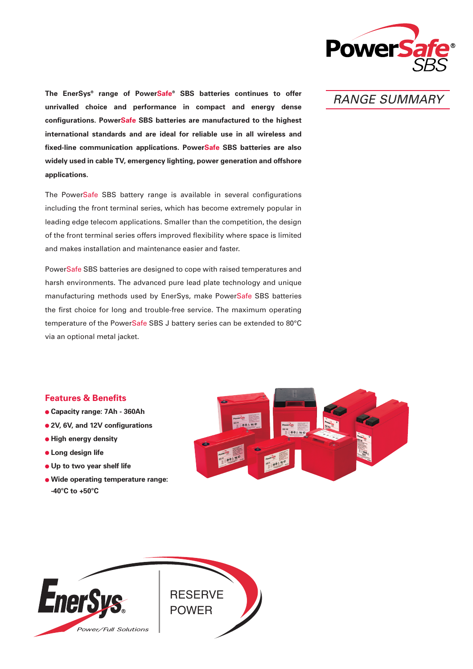

**The EnerSys® range of PowerSafe® SBS batteries continues to offer unrivalled choice and performance in compact and energy dense configurations. PowerSafe SBS batteries are manufactured to the highest international standards and are ideal for reliable use in all wireless and fixed-line communication applications. PowerSafe SBS batteries are also widely used in cable TV, emergency lighting, power generation and offshore applications.**

The PowerSafe SBS battery range is available in several configurations including the front terminal series, which has become extremely popular in leading edge telecom applications. Smaller than the competition, the design of the front terminal series offers improved flexibility where space is limited and makes installation and maintenance easier and faster.

PowerSafe SBS batteries are designed to cope with raised temperatures and harsh environments. The advanced pure lead plate technology and unique manufacturing methods used by EnerSys, make PowerSafe SBS batteries the first choice for long and trouble-free service. The maximum operating temperature of the PowerSafe SBS J battery series can be extended to 80°C via an optional metal jacket.

# *RANGE SUMMARY*

## **Features & Benefits**

- **Capacity range: 7Ah - 360Ah**
- **2V, 6V, and 12V configurations**
- **High energy density**
- **Long design life**
- **Up to two year shelf life**
- **Wide operating temperature range: -40°C to +50°C**